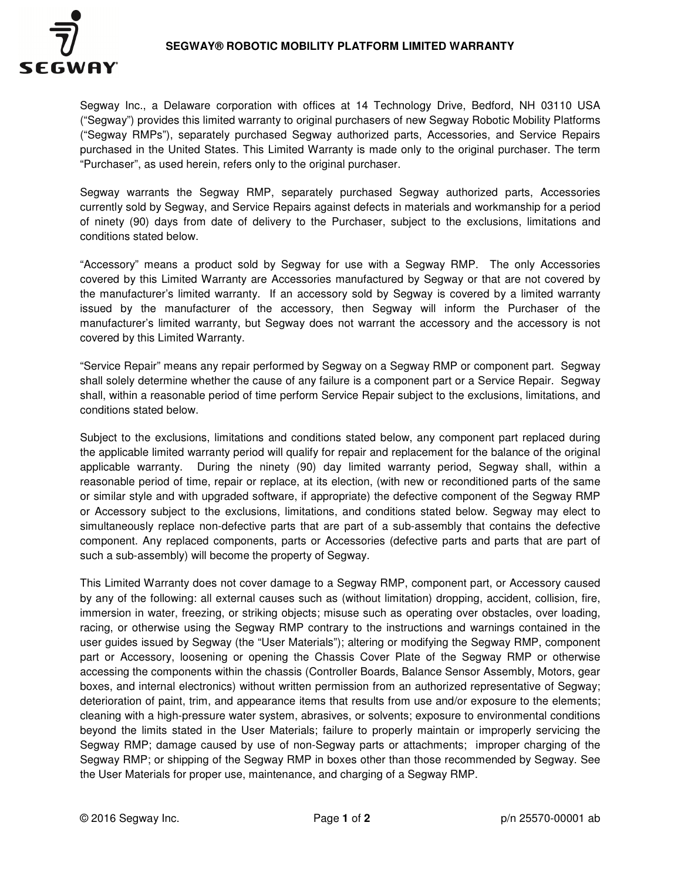

Segway Inc., a Delaware corporation with offices at 14 Technology Drive, Bedford, NH 03110 USA ("Segway") provides this limited warranty to original purchasers of new Segway Robotic Mobility Platforms ("Segway RMPs"), separately purchased Segway authorized parts, Accessories, and Service Repairs purchased in the United States. This Limited Warranty is made only to the original purchaser. The term "Purchaser", as used herein, refers only to the original purchaser.

Segway warrants the Segway RMP, separately purchased Segway authorized parts, Accessories currently sold by Segway, and Service Repairs against defects in materials and workmanship for a period of ninety (90) days from date of delivery to the Purchaser, subject to the exclusions, limitations and conditions stated below.

"Accessory" means a product sold by Segway for use with a Segway RMP. The only Accessories covered by this Limited Warranty are Accessories manufactured by Segway or that are not covered by the manufacturer's limited warranty. If an accessory sold by Segway is covered by a limited warranty issued by the manufacturer of the accessory, then Segway will inform the Purchaser of the manufacturer's limited warranty, but Segway does not warrant the accessory and the accessory is not covered by this Limited Warranty.

"Service Repair" means any repair performed by Segway on a Segway RMP or component part. Segway shall solely determine whether the cause of any failure is a component part or a Service Repair. Segway shall, within a reasonable period of time perform Service Repair subject to the exclusions, limitations, and conditions stated below.

Subject to the exclusions, limitations and conditions stated below, any component part replaced during the applicable limited warranty period will qualify for repair and replacement for the balance of the original applicable warranty. During the ninety (90) day limited warranty period, Segway shall, within a reasonable period of time, repair or replace, at its election, (with new or reconditioned parts of the same or similar style and with upgraded software, if appropriate) the defective component of the Segway RMP or Accessory subject to the exclusions, limitations, and conditions stated below. Segway may elect to simultaneously replace non-defective parts that are part of a sub-assembly that contains the defective component. Any replaced components, parts or Accessories (defective parts and parts that are part of such a sub-assembly) will become the property of Segway.

This Limited Warranty does not cover damage to a Segway RMP, component part, or Accessory caused by any of the following: all external causes such as (without limitation) dropping, accident, collision, fire, immersion in water, freezing, or striking objects; misuse such as operating over obstacles, over loading, racing, or otherwise using the Segway RMP contrary to the instructions and warnings contained in the user guides issued by Segway (the "User Materials"); altering or modifying the Segway RMP, component part or Accessory, loosening or opening the Chassis Cover Plate of the Segway RMP or otherwise accessing the components within the chassis (Controller Boards, Balance Sensor Assembly, Motors, gear boxes, and internal electronics) without written permission from an authorized representative of Segway; deterioration of paint, trim, and appearance items that results from use and/or exposure to the elements; cleaning with a high-pressure water system, abrasives, or solvents; exposure to environmental conditions beyond the limits stated in the User Materials; failure to properly maintain or improperly servicing the Segway RMP; damage caused by use of non-Segway parts or attachments; improper charging of the Segway RMP; or shipping of the Segway RMP in boxes other than those recommended by Segway. See the User Materials for proper use, maintenance, and charging of a Segway RMP.